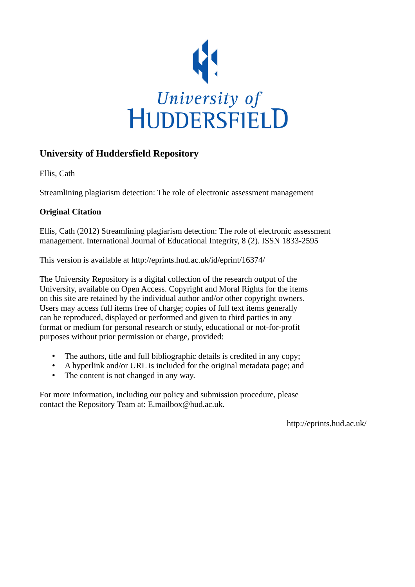

# **University of Huddersfield Repository**

Ellis, Cath

Streamlining plagiarism detection: The role of electronic assessment management

## **Original Citation**

Ellis, Cath (2012) Streamlining plagiarism detection: The role of electronic assessment management. International Journal of Educational Integrity, 8 (2). ISSN 1833-2595

This version is available at http://eprints.hud.ac.uk/id/eprint/16374/

The University Repository is a digital collection of the research output of the University, available on Open Access. Copyright and Moral Rights for the items on this site are retained by the individual author and/or other copyright owners. Users may access full items free of charge; copies of full text items generally can be reproduced, displayed or performed and given to third parties in any format or medium for personal research or study, educational or not-for-profit purposes without prior permission or charge, provided:

- The authors, title and full bibliographic details is credited in any copy;
- A hyperlink and/or URL is included for the original metadata page; and
- The content is not changed in any way.

For more information, including our policy and submission procedure, please contact the Repository Team at: E.mailbox@hud.ac.uk.

http://eprints.hud.ac.uk/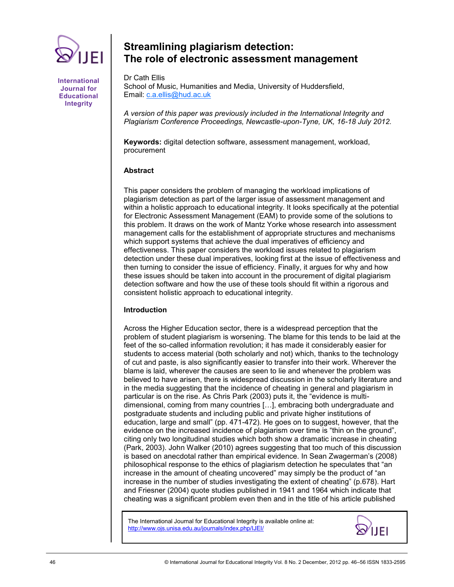

**International Journal for Educational Integrity**

# **Streamlining plagiarism detection: The role of electronic assessment management**

Dr Cath Ellis School of Music, Humanities and Media, University of Huddersfield, Email: [c.a.ellis@hud.ac.uk](mailto:c.a.ellis@hud.ac.uk)

*A version of this paper was previously included in the International Integrity and Plagiarism Conference Proceedings, Newcastle-upon-Tyne, UK, 16-18 July 2012.*

**Keywords:** digital detection software, assessment management, workload, procurement

## **Abstract**

This paper considers the problem of managing the workload implications of plagiarism detection as part of the larger issue of assessment management and within a holistic approach to educational integrity. It looks specifically at the potential for Electronic Assessment Management (EAM) to provide some of the solutions to this problem. It draws on the work of Mantz Yorke whose research into assessment management calls for the establishment of appropriate structures and mechanisms which support systems that achieve the dual imperatives of efficiency and effectiveness. This paper considers the workload issues related to plagiarism detection under these dual imperatives, looking first at the issue of effectiveness and then turning to consider the issue of efficiency. Finally, it argues for why and how these issues should be taken into account in the procurement of digital plagiarism detection software and how the use of these tools should fit within a rigorous and consistent holistic approach to educational integrity.

## **Introduction**

Across the Higher Education sector, there is a widespread perception that the problem of student plagiarism is worsening. The blame for this tends to be laid at the feet of the so-called information revolution; it has made it considerably easier for students to access material (both scholarly and not) which, thanks to the technology of cut and paste, is also significantly easier to transfer into their work. Wherever the blame is laid, wherever the causes are seen to lie and whenever the problem was believed to have arisen, there is widespread discussion in the scholarly literature and in the media suggesting that the incidence of cheating in general and plagiarism in particular is on the rise. As Chris Park (2003) puts it, the "evidence is multidimensional, coming from many countries […], embracing both undergraduate and postgraduate students and including public and private higher institutions of education, large and small" (pp. 471-472). He goes on to suggest, however, that the evidence on the increased incidence of plagiarism over time is "thin on the ground", citing only two longitudinal studies which both show a dramatic increase in cheating (Park, 2003). John Walker (2010) agrees suggesting that too much of this discussion is based on anecdotal rather than empirical evidence. In Sean Zwagerman's (2008) philosophical response to the ethics of plagiarism detection he speculates that "an increase in the amount of cheating uncovered" may simply be the product of "an increase in the number of studies investigating the extent of cheating" (p.678). Hart and Friesner (2004) quote studies published in 1941 and 1964 which indicate that cheating was a significant problem even then and in the title of his article published

The International Journal for Educational Integrity is available online at: http://www.ojs.unisa.edu.au/journals/index.php/IJEI/

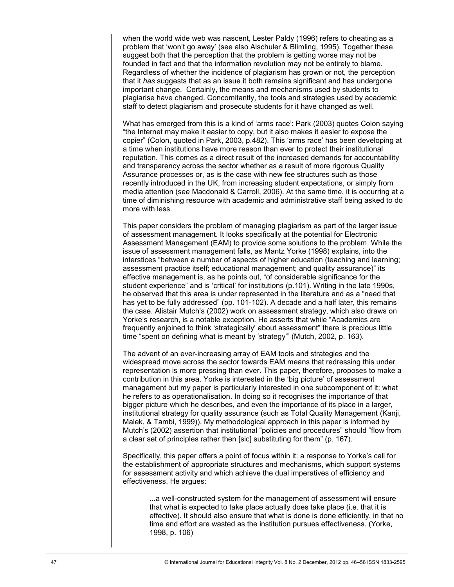when the world wide web was nascent, Lester Paldy (1996) refers to cheating as a problem that ‗won't go away' (see also Alschuler & Blimling, 1995). Together these suggest both that the perception that the problem is getting worse may not be founded in fact and that the information revolution may not be entirely to blame. Regardless of whether the incidence of plagiarism has grown or not, the perception that it *has* suggests that as an issue it both remains significant and has undergone important change. Certainly, the means and mechanisms used by students to plagiarise have changed. Concomitantly, the tools and strategies used by academic staff to detect plagiarism and prosecute students for it have changed as well.

What has emerged from this is a kind of 'arms race': Park (2003) quotes Colon saying ―the Internet may make it easier to copy, but it also makes it easier to expose the copier" (Colon, quoted in Park, 2003, p.482). This 'arms race' has been developing at a time when institutions have more reason than ever to protect their institutional reputation. This comes as a direct result of the increased demands for accountability and transparency across the sector whether as a result of more rigorous Quality Assurance processes or, as is the case with new fee structures such as those recently introduced in the UK, from increasing student expectations, or simply from media attention (see Macdonald & Carroll, 2006). At the same time, it is occurring at a time of diminishing resource with academic and administrative staff being asked to do more with less.

This paper considers the problem of managing plagiarism as part of the larger issue of assessment management. It looks specifically at the potential for Electronic Assessment Management (EAM) to provide some solutions to the problem. While the issue of assessment management falls, as Mantz Yorke (1998) explains, into the interstices "between a number of aspects of higher education (teaching and learning; assessment practice itself; educational management; and quality assurance)" its effective management is, as he points out, "of considerable significance for the student experience" and is 'critical' for institutions (p.101). Writing in the late 1990s, he observed that this area is under represented in the literature and as a "need that has yet to be fully addressed" (pp. 101-102). A decade and a half later, this remains the case. Alistair Mutch's (2002) work on assessment strategy, which also draws on Yorke's research, is a notable exception. He asserts that while "Academics are frequently enjoined to think 'strategically' about assessment" there is precious little time "spent on defining what is meant by 'strategy'" (Mutch, 2002, p. 163).

The advent of an ever-increasing array of EAM tools and strategies and the widespread move across the sector towards EAM means that redressing this under representation is more pressing than ever. This paper, therefore, proposes to make a contribution in this area. Yorke is interested in the 'big picture' of assessment management but my paper is particularly interested in one subcomponent of it: what he refers to as operationalisation. In doing so it recognises the importance of that bigger picture which he describes, and even the importance of its place in a larger, institutional strategy for quality assurance (such as Total Quality Management (Kanji, Malek, & Tambi, 1999)). My methodological approach in this paper is informed by Mutch's (2002) assertion that institutional "policies and procedures" should "flow from a clear set of principles rather then [sic] substituting for them" (p. 167).

Specifically, this paper offers a point of focus within it: a response to Yorke's call for the establishment of appropriate structures and mechanisms, which support systems for assessment activity and which achieve the dual imperatives of efficiency and effectiveness. He argues:

...a well-constructed system for the management of assessment will ensure that what is expected to take place actually does take place (i.e. that it is effective). It should also ensure that what is done is done efficiently, in that no time and effort are wasted as the institution pursues effectiveness. (Yorke, 1998, p. 106)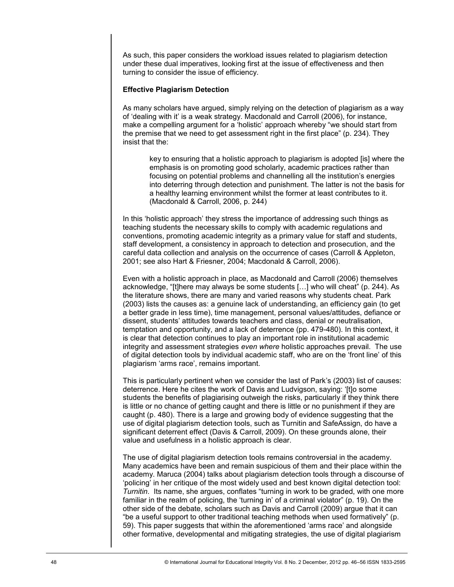As such, this paper considers the workload issues related to plagiarism detection under these dual imperatives, looking first at the issue of effectiveness and then turning to consider the issue of efficiency.

#### **Effective Plagiarism Detection**

As many scholars have argued, simply relying on the detection of plagiarism as a way of ‗dealing with it' is a weak strategy. Macdonald and Carroll (2006), for instance, make a compelling argument for a 'holistic' approach whereby "we should start from the premise that we need to get assessment right in the first place" (p. 234). They insist that the:

key to ensuring that a holistic approach to plagiarism is adopted [is] where the emphasis is on promoting good scholarly, academic practices rather than focusing on potential problems and channelling all the institution's energies into deterring through detection and punishment. The latter is not the basis for a healthy learning environment whilst the former at least contributes to it. (Macdonald & Carroll, 2006, p. 244)

In this 'holistic approach' they stress the importance of addressing such things as teaching students the necessary skills to comply with academic regulations and conventions, promoting academic integrity as a primary value for staff and students, staff development, a consistency in approach to detection and prosecution, and the careful data collection and analysis on the occurrence of cases (Carroll & Appleton, 2001; see also Hart & Friesner, 2004; Macdonald & Carroll, 2006).

Even with a holistic approach in place, as Macdonald and Carroll (2006) themselves acknowledge, "[t]here may always be some students [...] who will cheat" (p. 244). As the literature shows, there are many and varied reasons why students cheat. Park (2003) lists the causes as: a genuine lack of understanding, an efficiency gain (to get a better grade in less time), time management, personal values/attitudes, defiance or dissent, students' attitudes towards teachers and class, denial or neutralisation, temptation and opportunity, and a lack of deterrence (pp. 479-480). In this context, it is clear that detection continues to play an important role in institutional academic integrity and assessment strategies *even where* holistic approaches prevail. The use of digital detection tools by individual academic staff, who are on the ‗front line' of this plagiarism ‗arms race', remains important.

This is particularly pertinent when we consider the last of Park's (2003) list of causes: deterrence. Here he cites the work of Davis and Ludvigson, saying: ‗[t]o some students the benefits of plagiarising outweigh the risks, particularly if they think there is little or no chance of getting caught and there is little or no punishment if they are caught (p. 480). There is a large and growing body of evidence suggesting that the use of digital plagiarism detection tools, such as Turnitin and SafeAssign, do have a significant deterrent effect (Davis & Carroll, 2009). On these grounds alone, their value and usefulness in a holistic approach is clear.

The use of digital plagiarism detection tools remains controversial in the academy. Many academics have been and remain suspicious of them and their place within the academy. Maruca (2004) talks about plagiarism detection tools through a discourse of ‗policing' in her critique of the most widely used and best known digital detection tool: *Turnitin*. Its name, she argues, conflates "turning in work to be graded, with one more familiar in the realm of policing, the 'turning in' of a criminal violator" (p. 19). On the other side of the debate, scholars such as Davis and Carroll (2009) argue that it can "be a useful support to other traditional teaching methods when used formatively" (p. 59). This paper suggests that within the aforementioned 'arms race' and alongside other formative, developmental and mitigating strategies, the use of digital plagiarism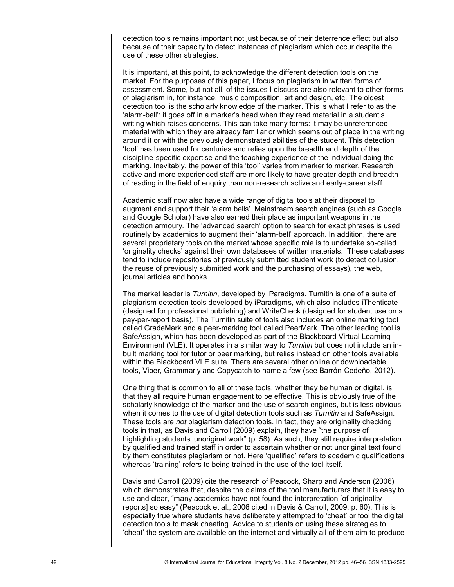detection tools remains important not just because of their deterrence effect but also because of their capacity to detect instances of plagiarism which occur despite the use of these other strategies.

It is important, at this point, to acknowledge the different detection tools on the market. For the purposes of this paper, I focus on plagiarism in written forms of assessment. Some, but not all, of the issues I discuss are also relevant to other forms of plagiarism in, for instance, music composition, art and design, etc. The oldest detection tool is the scholarly knowledge of the marker. This is what I refer to as the ‗alarm-bell': it goes off in a marker's head when they read material in a student's writing which raises concerns. This can take many forms: it may be unreferenced material with which they are already familiar or which seems out of place in the writing around it or with the previously demonstrated abilities of the student. This detection ‗tool' has been used for centuries and relies upon the breadth and depth of the discipline-specific expertise and the teaching experience of the individual doing the marking. Inevitably, the power of this 'tool' varies from marker to marker. Research active and more experienced staff are more likely to have greater depth and breadth of reading in the field of enquiry than non-research active and early-career staff.

Academic staff now also have a wide range of digital tools at their disposal to augment and support their 'alarm bells'. Mainstream search engines (such as Google and Google Scholar) have also earned their place as important weapons in the detection armoury. The 'advanced search' option to search for exact phrases is used routinely by academics to augment their 'alarm-bell' approach. In addition, there are several proprietary tools on the market whose specific role is to undertake so-called ‗originality checks' against their own databases of written materials. These databases tend to include repositories of previously submitted student work (to detect collusion, the reuse of previously submitted work and the purchasing of essays), the web, journal articles and books.

The market leader is *Turnitin*, developed by iParadigms. Turnitin is one of a suite of plagiarism detection tools developed by iParadigms, which also includes iThenticate (designed for professional publishing) and WriteCheck (designed for student use on a pay-per-report basis). The Turnitin suite of tools also includes an online marking tool called GradeMark and a peer-marking tool called PeerMark. The other leading tool is SafeAssign, which has been developed as part of the Blackboard Virtual Learning Environment (VLE). It operates in a similar way to *Turnitin* but does not include an inbuilt marking tool for tutor or peer marking, but relies instead on other tools available within the Blackboard VLE suite. There are several other online or downloadable tools, Viper, Grammarly and Copycatch to name a few (see Barrón-Cedeño, 2012).

One thing that is common to all of these tools, whether they be human or digital, is that they all require human engagement to be effective. This is obviously true of the scholarly knowledge of the marker and the use of search engines, but is less obvious when it comes to the use of digital detection tools such as *Turnitin* and SafeAssign. These tools are *not* plagiarism detection tools. In fact, they are originality checking tools in that, as Davis and Carroll (2009) explain, they have "the purpose of highlighting students' unoriginal work" (p. 58). As such, they still require interpretation by qualified and trained staff in order to ascertain whether or not unoriginal text found by them constitutes plagiarism or not. Here 'qualified' refers to academic qualifications whereas 'training' refers to being trained in the use of the tool itself.

Davis and Carroll (2009) cite the research of Peacock, Sharp and Anderson (2006) which demonstrates that, despite the claims of the tool manufacturers that it is easy to use and clear, "many academics have not found the interpretation [of originality reports] so easy" (Peacock et al., 2006 cited in Davis & Carroll, 2009, p. 60). This is especially true where students have deliberately attempted to 'cheat' or fool the digital detection tools to mask cheating. Advice to students on using these strategies to ‗cheat' the system are available on the internet and virtually all of them aim to produce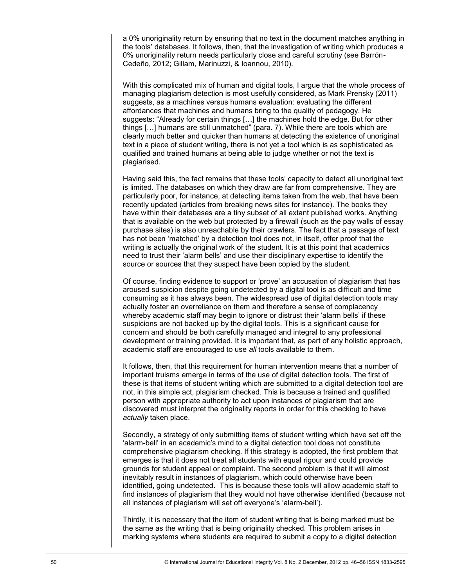a 0% unoriginality return by ensuring that no text in the document matches anything in the tools' databases. It follows, then, that the investigation of writing which produces a 0% unoriginality return needs particularly close and careful scrutiny (see Barrón-Cedeño, 2012; Gillam, Marinuzzi, & Ioannou, 2010).

With this complicated mix of human and digital tools, I argue that the whole process of managing plagiarism detection is most usefully considered, as Mark Prensky (2011) suggests, as a machines versus humans evaluation: evaluating the different affordances that machines and humans bring to the quality of pedagogy. He suggests: "Already for certain things [...] the machines hold the edge. But for other things [...] humans are still unmatched" (para. 7). While there are tools which are clearly much better and quicker than humans at detecting the existence of unoriginal text in a piece of student writing, there is not yet a tool which is as sophisticated as qualified and trained humans at being able to judge whether or not the text is plagiarised.

Having said this, the fact remains that these tools' capacity to detect all unoriginal text is limited. The databases on which they draw are far from comprehensive. They are particularly poor, for instance, at detecting items taken from the web, that have been recently updated (articles from breaking news sites for instance). The books they have within their databases are a tiny subset of all extant published works. Anything that is available on the web but protected by a firewall (such as the pay walls of essay purchase sites) is also unreachable by their crawlers. The fact that a passage of text has not been 'matched' by a detection tool does not, in itself, offer proof that the writing is actually the original work of the student. It is at this point that academics need to trust their ‗alarm bells' and use their disciplinary expertise to identify the source or sources that they suspect have been copied by the student.

Of course, finding evidence to support or ‗prove' an accusation of plagiarism that has aroused suspicion despite going undetected by a digital tool is as difficult and time consuming as it has always been. The widespread use of digital detection tools may actually foster an overreliance on them and therefore a sense of complacency whereby academic staff may begin to ignore or distrust their 'alarm bells' if these suspicions are not backed up by the digital tools. This is a significant cause for concern and should be both carefully managed and integral to any professional development or training provided. It is important that, as part of any holistic approach, academic staff are encouraged to use *all* tools available to them.

It follows, then, that this requirement for human intervention means that a number of important truisms emerge in terms of the use of digital detection tools. The first of these is that items of student writing which are submitted to a digital detection tool are not, in this simple act, plagiarism checked. This is because a trained and qualified person with appropriate authority to act upon instances of plagiarism that are discovered must interpret the originality reports in order for this checking to have *actually* taken place.

Secondly, a strategy of only submitting items of student writing which have set off the ‗alarm-bell' in an academic's mind to a digital detection tool does not constitute comprehensive plagiarism checking. If this strategy is adopted, the first problem that emerges is that it does not treat all students with equal rigour and could provide grounds for student appeal or complaint. The second problem is that it will almost inevitably result in instances of plagiarism, which could otherwise have been identified, going undetected. This is because these tools will allow academic staff to find instances of plagiarism that they would not have otherwise identified (because not all instances of plagiarism will set off everyone's 'alarm-bell').

Thirdly, it is necessary that the item of student writing that is being marked must be the same as the writing that is being originality checked. This problem arises in marking systems where students are required to submit a copy to a digital detection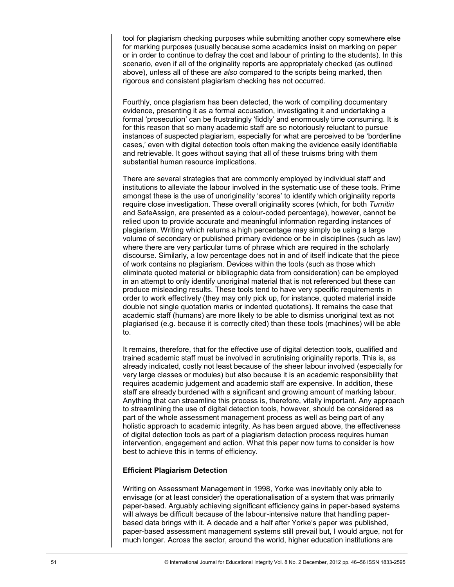tool for plagiarism checking purposes while submitting another copy somewhere else for marking purposes (usually because some academics insist on marking on paper or in order to continue to defray the cost and labour of printing to the students). In this scenario, even if all of the originality reports are appropriately checked (as outlined above), unless all of these are *also* compared to the scripts being marked, then rigorous and consistent plagiarism checking has not occurred.

Fourthly, once plagiarism has been detected, the work of compiling documentary evidence, presenting it as a formal accusation, investigating it and undertaking a formal 'prosecution' can be frustratingly 'fiddly' and enormously time consuming. It is for this reason that so many academic staff are so notoriously reluctant to pursue instances of suspected plagiarism, especially for what are perceived to be 'borderline cases,' even with digital detection tools often making the evidence easily identifiable and retrievable. It goes without saying that all of these truisms bring with them substantial human resource implications.

There are several strategies that are commonly employed by individual staff and institutions to alleviate the labour involved in the systematic use of these tools. Prime amongst these is the use of unoriginality 'scores' to identify which originality reports require close investigation. These overall originality scores (which, for both *Turnitin* and SafeAssign, are presented as a colour-coded percentage), however, cannot be relied upon to provide accurate and meaningful information regarding instances of plagiarism. Writing which returns a high percentage may simply be using a large volume of secondary or published primary evidence or be in disciplines (such as law) where there are very particular turns of phrase which are required in the scholarly discourse. Similarly, a low percentage does not in and of itself indicate that the piece of work contains no plagiarism. Devices within the tools (such as those which eliminate quoted material or bibliographic data from consideration) can be employed in an attempt to only identify unoriginal material that is not referenced but these can produce misleading results. These tools tend to have very specific requirements in order to work effectively (they may only pick up, for instance, quoted material inside double not single quotation marks or indented quotations). It remains the case that academic staff (humans) are more likely to be able to dismiss unoriginal text as not plagiarised (e.g. because it is correctly cited) than these tools (machines) will be able to.

It remains, therefore, that for the effective use of digital detection tools, qualified and trained academic staff must be involved in scrutinising originality reports. This is, as already indicated, costly not least because of the sheer labour involved (especially for very large classes or modules) but also because it is an academic responsibility that requires academic judgement and academic staff are expensive. In addition, these staff are already burdened with a significant and growing amount of marking labour. Anything that can streamline this process is, therefore, vitally important. Any approach to streamlining the use of digital detection tools, however, should be considered as part of the whole assessment management process as well as being part of any holistic approach to academic integrity. As has been argued above, the effectiveness of digital detection tools as part of a plagiarism detection process requires human intervention, engagement and action. What this paper now turns to consider is how best to achieve this in terms of efficiency.

## **Efficient Plagiarism Detection**

Writing on Assessment Management in 1998, Yorke was inevitably only able to envisage (or at least consider) the operationalisation of a system that was primarily paper-based. Arguably achieving significant efficiency gains in paper-based systems will always be difficult because of the labour-intensive nature that handling paperbased data brings with it. A decade and a half after Yorke's paper was published, paper-based assessment management systems still prevail but, I would argue, not for much longer. Across the sector, around the world, higher education institutions are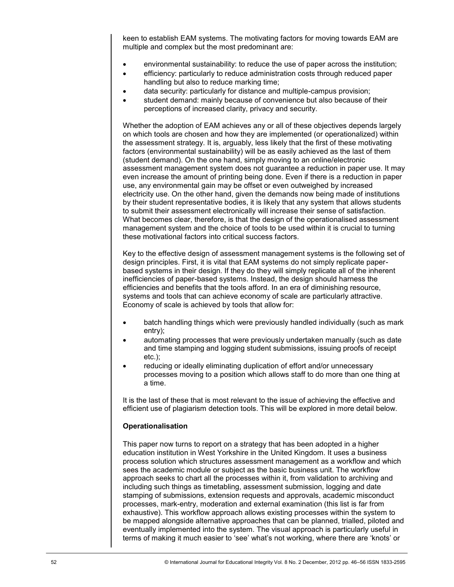keen to establish EAM systems. The motivating factors for moving towards EAM are multiple and complex but the most predominant are:

- environmental sustainability: to reduce the use of paper across the institution;
- efficiency: particularly to reduce administration costs through reduced paper handling but also to reduce marking time;
- data security: particularly for distance and multiple-campus provision;
- student demand: mainly because of convenience but also because of their perceptions of increased clarity, privacy and security.

Whether the adoption of EAM achieves any or all of these objectives depends largely on which tools are chosen and how they are implemented (or operationalized) within the assessment strategy. It is, arguably, less likely that the first of these motivating factors (environmental sustainability) will be as easily achieved as the last of them (student demand). On the one hand, simply moving to an online/electronic assessment management system does not guarantee a reduction in paper use. It may even increase the amount of printing being done. Even if there is a reduction in paper use, any environmental gain may be offset or even outweighed by increased electricity use. On the other hand, given the demands now being made of institutions by their student representative bodies, it is likely that any system that allows students to submit their assessment electronically will increase their sense of satisfaction. What becomes clear, therefore, is that the design of the operationalised assessment management system and the choice of tools to be used within it is crucial to turning these motivational factors into critical success factors.

Key to the effective design of assessment management systems is the following set of design principles. First, it is vital that EAM systems do not simply replicate paperbased systems in their design. If they do they will simply replicate all of the inherent inefficiencies of paper-based systems. Instead, the design should harness the efficiencies and benefits that the tools afford. In an era of diminishing resource, systems and tools that can achieve economy of scale are particularly attractive. Economy of scale is achieved by tools that allow for:

- batch handling things which were previously handled individually (such as mark entry);
- automating processes that were previously undertaken manually (such as date and time stamping and logging student submissions, issuing proofs of receipt etc.);
- reducing or ideally eliminating duplication of effort and/or unnecessary processes moving to a position which allows staff to do more than one thing at a time.

It is the last of these that is most relevant to the issue of achieving the effective and efficient use of plagiarism detection tools. This will be explored in more detail below.

## **Operationalisation**

This paper now turns to report on a strategy that has been adopted in a higher education institution in West Yorkshire in the United Kingdom. It uses a business process solution which structures assessment management as a workflow and which sees the academic module or subject as the basic business unit. The workflow approach seeks to chart all the processes within it, from validation to archiving and including such things as timetabling, assessment submission, logging and date stamping of submissions, extension requests and approvals, academic misconduct processes, mark-entry, moderation and external examination (this list is far from exhaustive). This workflow approach allows existing processes within the system to be mapped alongside alternative approaches that can be planned, trialled, piloted and eventually implemented into the system. The visual approach is particularly useful in terms of making it much easier to 'see' what's not working, where there are 'knots' or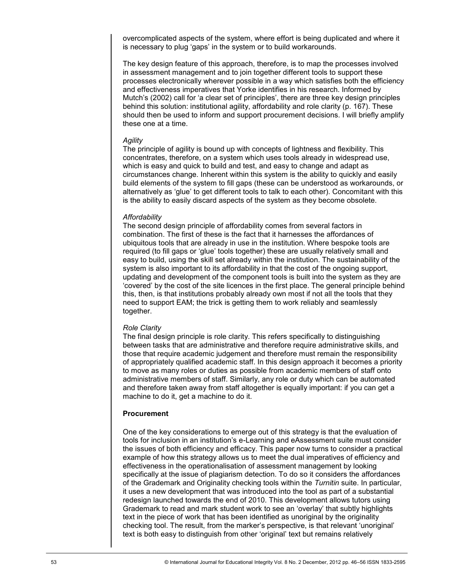overcomplicated aspects of the system, where effort is being duplicated and where it is necessary to plug 'gaps' in the system or to build workarounds.

The key design feature of this approach, therefore, is to map the processes involved in assessment management and to join together different tools to support these processes electronically wherever possible in a way which satisfies both the efficiency and effectiveness imperatives that Yorke identifies in his research. Informed by Mutch's (2002) call for ‗a clear set of principles', there are three key design principles behind this solution: institutional agility, affordability and role clarity (p. 167). These should then be used to inform and support procurement decisions. I will briefly amplify these one at a time.

#### *Agility*

The principle of agility is bound up with concepts of lightness and flexibility. This concentrates, therefore, on a system which uses tools already in widespread use, which is easy and quick to build and test, and easy to change and adapt as circumstances change. Inherent within this system is the ability to quickly and easily build elements of the system to fill gaps (these can be understood as workarounds, or alternatively as 'qlue' to get different tools to talk to each other). Concomitant with this is the ability to easily discard aspects of the system as they become obsolete.

#### *Affordability*

The second design principle of affordability comes from several factors in combination. The first of these is the fact that it harnesses the affordances of ubiquitous tools that are already in use in the institution. Where bespoke tools are required (to fill gaps or 'glue' tools together) these are usually relatively small and easy to build, using the skill set already within the institution. The sustainability of the system is also important to its affordability in that the cost of the ongoing support, updating and development of the component tools is built into the system as they are ‗covered' by the cost of the site licences in the first place. The general principle behind this, then, is that institutions probably already own most if not all the tools that they need to support EAM; the trick is getting them to work reliably and seamlessly together.

## *Role Clarity*

The final design principle is role clarity. This refers specifically to distinguishing between tasks that are administrative and therefore require administrative skills, and those that require academic judgement and therefore must remain the responsibility of appropriately qualified academic staff. In this design approach it becomes a priority to move as many roles or duties as possible from academic members of staff onto administrative members of staff. Similarly, any role or duty which can be automated and therefore taken away from staff altogether is equally important: if you can get a machine to do it, get a machine to do it.

#### **Procurement**

One of the key considerations to emerge out of this strategy is that the evaluation of tools for inclusion in an institution's e-Learning and eAssessment suite must consider the issues of both efficiency and efficacy. This paper now turns to consider a practical example of how this strategy allows us to meet the dual imperatives of efficiency and effectiveness in the operationalisation of assessment management by looking specifically at the issue of plagiarism detection. To do so it considers the affordances of the Grademark and Originality checking tools within the *Turnitin* suite. In particular, it uses a new development that was introduced into the tool as part of a substantial redesign launched towards the end of 2010. This development allows tutors using Grademark to read and mark student work to see an 'overlay' that subtly highlights text in the piece of work that has been identified as unoriginal by the originality checking tool. The result, from the marker's perspective, is that relevant 'unoriginal' text is both easy to distinguish from other 'original' text but remains relatively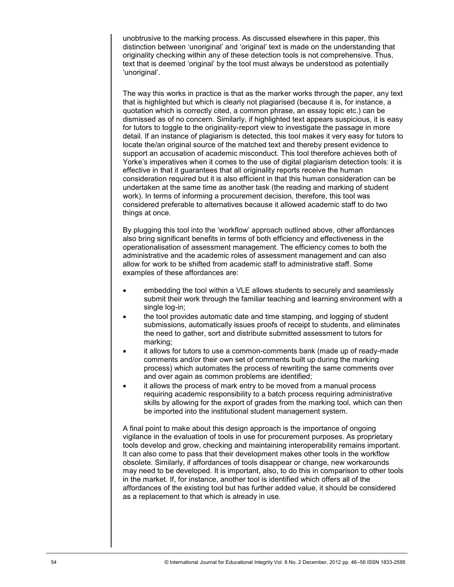unobtrusive to the marking process. As discussed elsewhere in this paper, this distinction between 'unoriginal' and 'original' text is made on the understanding that originality checking within any of these detection tools is not comprehensive. Thus, text that is deemed 'original' by the tool must always be understood as potentially ‗unoriginal'.

The way this works in practice is that as the marker works through the paper, any text that is highlighted but which is clearly not plagiarised (because it is, for instance, a quotation which is correctly cited, a common phrase, an essay topic etc.) can be dismissed as of no concern. Similarly, if highlighted text appears suspicious, it is easy for tutors to toggle to the originality-report view to investigate the passage in more detail. If an instance of plagiarism is detected, this tool makes it very easy for tutors to locate the/an original source of the matched text and thereby present evidence to support an accusation of academic misconduct. This tool therefore achieves both of Yorke's imperatives when it comes to the use of digital plagiarism detection tools: it is effective in that it guarantees that all originality reports receive the human consideration required but it is also efficient in that this human consideration can be undertaken at the same time as another task (the reading and marking of student work). In terms of informing a procurement decision, therefore, this tool was considered preferable to alternatives because it allowed academic staff to do two things at once.

By plugging this tool into the 'workflow' approach outlined above, other affordances also bring significant benefits in terms of both efficiency and effectiveness in the operationalisation of assessment management. The efficiency comes to both the administrative and the academic roles of assessment management and can also allow for work to be shifted from academic staff to administrative staff. Some examples of these affordances are:

- embedding the tool within a VLE allows students to securely and seamlessly submit their work through the familiar teaching and learning environment with a single log-in;
- the tool provides automatic date and time stamping, and logging of student submissions, automatically issues proofs of receipt to students, and eliminates the need to gather, sort and distribute submitted assessment to tutors for marking;
- it allows for tutors to use a common-comments bank (made up of ready-made comments and/or their own set of comments built up during the marking process) which automates the process of rewriting the same comments over and over again as common problems are identified;
- it allows the process of mark entry to be moved from a manual process requiring academic responsibility to a batch process requiring administrative skills by allowing for the export of grades from the marking tool, which can then be imported into the institutional student management system.

A final point to make about this design approach is the importance of ongoing vigilance in the evaluation of tools in use for procurement purposes. As proprietary tools develop and grow, checking and maintaining interoperability remains important. It can also come to pass that their development makes other tools in the workflow obsolete. Similarly, if affordances of tools disappear or change, new workarounds may need to be developed. It is important, also, to do this in comparison to other tools in the market. If, for instance, another tool is identified which offers all of the affordances of the existing tool but has further added value, it should be considered as a replacement to that which is already in use.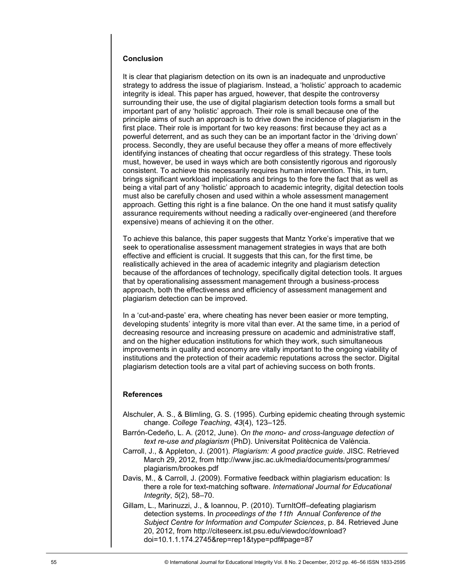#### **Conclusion**

It is clear that plagiarism detection on its own is an inadequate and unproductive strategy to address the issue of plagiarism. Instead, a 'holistic' approach to academic integrity is ideal. This paper has argued, however, that despite the controversy surrounding their use, the use of digital plagiarism detection tools forms a small but important part of any 'holistic' approach. Their role is small because one of the principle aims of such an approach is to drive down the incidence of plagiarism in the first place. Their role is important for two key reasons: first because they act as a powerful deterrent, and as such they can be an important factor in the ‗driving down' process. Secondly, they are useful because they offer a means of more effectively identifying instances of cheating that occur regardless of this strategy. These tools must, however, be used in ways which are both consistently rigorous and rigorously consistent. To achieve this necessarily requires human intervention. This, in turn, brings significant workload implications and brings to the fore the fact that as well as being a vital part of any 'holistic' approach to academic integrity, digital detection tools must also be carefully chosen and used within a whole assessment management approach. Getting this right is a fine balance. On the one hand it must satisfy quality assurance requirements without needing a radically over-engineered (and therefore expensive) means of achieving it on the other.

To achieve this balance, this paper suggests that Mantz Yorke's imperative that we seek to operationalise assessment management strategies in ways that are both effective and efficient is crucial. It suggests that this can, for the first time, be realistically achieved in the area of academic integrity and plagiarism detection because of the affordances of technology, specifically digital detection tools. It argues that by operationalising assessment management through a business-process approach, both the effectiveness and efficiency of assessment management and plagiarism detection can be improved.

In a 'cut-and-paste' era, where cheating has never been easier or more tempting. developing students' integrity is more vital than ever. At the same time, in a period of decreasing resource and increasing pressure on academic and administrative staff, and on the higher education institutions for which they work, such simultaneous improvements in quality and economy are vitally important to the ongoing viability of institutions and the protection of their academic reputations across the sector. Digital plagiarism detection tools are a vital part of achieving success on both fronts.

#### **References**

- Alschuler, A. S., & Blimling, G. S. (1995). Curbing epidemic cheating through systemic change. *College Teaching*, *43*(4), 123–125.
- Barrón-Cedeño, L. A. (2012, June). *On the mono- and cross-language detection of text re-use and plagiarism* (PhD). Universitat Politècnica de València.
- Carroll, J., & Appleton, J. (2001). *Plagiarism: A good practice guide*. JISC. Retrieved March 29, 2012, from http://www.jisc.ac.uk/media/documents/programmes/ plagiarism/brookes.pdf
- Davis, M., & Carroll, J. (2009). Formative feedback within plagiarism education: Is there a role for text-matching software. *International Journal for Educational Integrity*, *5*(2), 58–70.
- Gillam, L., Marinuzzi, J., & Ioannou, P. (2010). TurnItOff–defeating plagiarism detection systems. In *proceedings of the 11th Annual Conference of the Subject Centre for Information and Computer Sciences*, p. 84. Retrieved June 20, 2012, from http://citeseerx.ist.psu.edu/viewdoc/download? doi=10.1.1.174.2745&rep=rep1&type=pdf#page=87